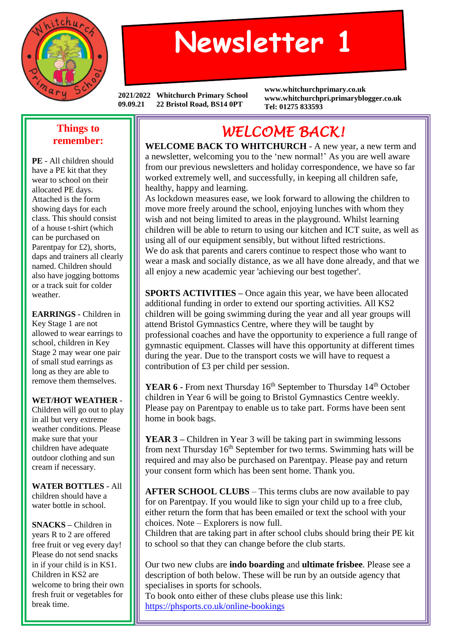

## **Newsletter 1**

**2021/2022 Whitchurch Primary School 09.09.21 22 Bristol Road, BS14 0PT**

**www.whitchurchprimary.co.uk www.whitchurchpri.primaryblogger.co.uk Tel: 01275 833593**

## **Things to remember:**

**PE** - All children should have a PE kit that they wear to school on their allocated PE days. Attached is the form showing days for each class. This should consist of a house t-shirt (which can be purchased on Parentpay for £2), shorts, daps and trainers all clearly named. Children should also have jogging bottoms or a track suit for colder weather.

**EARRINGS -** Children in Key Stage 1 are not allowed to wear earrings to school, children in Key Stage 2 may wear one pair of small stud earrings as long as they are able to remove them themselves.

## **WET/HOT WEATHER -**

Children will go out to play in all but very extreme weather conditions. Please make sure that your children have adequate outdoor clothing and sun cream if necessary.

**WATER BOTTLES -** All children should have a water bottle in school.

**SNACKS –** Children in years R to 2 are offered free fruit or veg every day! Please do not send snacks in if your child is in KS1. Children in KS2 are welcome to bring their own fresh fruit or vegetables for break time.

## *WELCOME BACK!*

**WELCOME BACK TO WHITCHURCH** - A new year, a new term and a newsletter, welcoming you to the 'new normal!' As you are well aware from our previous newsletters and holiday correspondence, we have so far worked extremely well, and successfully, in keeping all children safe, healthy, happy and learning.

As lockdown measures ease, we look forward to allowing the children to move more freely around the school, enjoying lunches with whom they wish and not being limited to areas in the playground. Whilst learning children will be able to return to using our kitchen and ICT suite, as well as using all of our equipment sensibly, but without lifted restrictions. We do ask that parents and carers continue to respect those who want to wear a mask and socially distance, as we all have done already, and that we all enjoy a new academic year 'achieving our best together'.

**SPORTS ACTIVITIES –** Once again this year, we have been allocated additional funding in order to extend our sporting activities. All KS2 children will be going swimming during the year and all year groups will attend Bristol Gymnastics Centre, where they will be taught by professional coaches and have the opportunity to experience a full range of gymnastic equipment. Classes will have this opportunity at different times during the year. Due to the transport costs we will have to request a contribution of £3 per child per session.

**YEAR 6** - From next Thursday 16<sup>th</sup> September to Thursday 14<sup>th</sup> October children in Year 6 will be going to Bristol Gymnastics Centre weekly. Please pay on Parentpay to enable us to take part. Forms have been sent home in book bags.

**YEAR 3** – Children in Year 3 will be taking part in swimming lessons from next Thursday 16<sup>th</sup> September for two terms. Swimming hats will be required and may also be purchased on Parentpay. Please pay and return your consent form which has been sent home. Thank you.

**AFTER SCHOOL CLUBS** – This terms clubs are now available to pay for on Parentpay. If you would like to sign your child up to a free club, either return the form that has been emailed or text the school with your choices. Note – Explorers is now full.

Children that are taking part in after school clubs should bring their PE kit to school so that they can change before the club starts.

Our two new clubs are **indo boarding** and **ultimate frisbee**. Please see a description of both below. These will be run by an outside agency that specialises in sports for schools.

To book onto either of these clubs please use this link: <https://phsports.co.uk/online-bookings>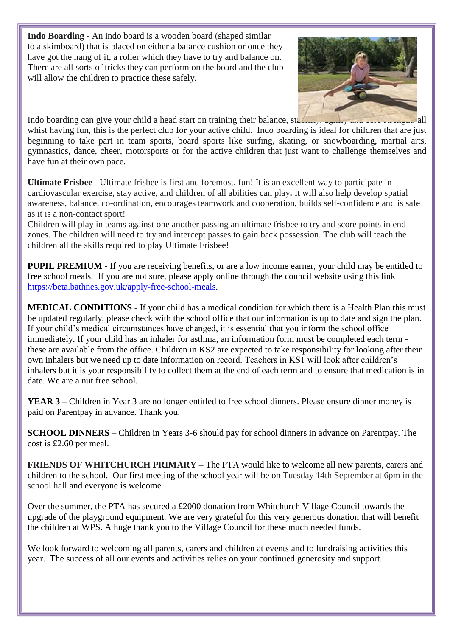**Indo Boarding -** An indo board is a wooden board (shaped similar to a skimboard) that is placed on either a balance cushion or once they have got the hang of it, a roller which they have to try and balance on. There are all sorts of tricks they can perform on the board and the club will allow the children to practice these safely.



Indo boarding can give your child a head start on training their balance,  $st_{\text{rel}}$ ,  $\alpha_{\text{rel}}$ ,  $\alpha_{\text{rel}}$ ,  $\alpha_{\text{rel}}$ ,  $\alpha_{\text{rel}}$ ,  $\alpha_{\text{rel}}$ ,  $\alpha_{\text{rel}}$ ,  $\alpha_{\text{rel}}$ ,  $\alpha_{\text{rel}}$ ,  $\alpha_{\text{rel}}$ ,  $\alpha_{\text{rel}}$ ,  $\alpha_{\text{rel}}$ ,  $\alpha_{$ whist having fun, this is the perfect club for your active child. Indo boarding is ideal for children that are just beginning to take part in team sports, board sports like surfing, skating, or snowboarding, martial arts, gymnastics, dance, cheer, motorsports or for the active children that just want to challenge themselves and have fun at their own pace.

**Ultimate Frisbee -** Ultimate frisbee is first and foremost, fun! It is an excellent way to participate in cardiovascular exercise, stay active, and children of all abilities can play**.** It will also help develop spatial awareness, balance, co-ordination, encourages teamwork and cooperation, builds self-confidence and is safe as it is a non-contact sport!

Children will play in teams against one another passing an ultimate frisbee to try and score points in end zones. The children will need to try and intercept passes to gain back possession. The club will teach the children all the skills required to play Ultimate Frisbee!

**PUPIL PREMIUM -** If you are receiving benefits, or are a low income earner, your child may be entitled to free school meals. If you are not sure, please apply online through the council website using this link [https://beta.bathnes.gov.uk/apply-free-school-meals.](https://beta.bathnes.gov.uk/apply-free-school-meals)

**MEDICAL CONDITIONS -** If your child has a medical condition for which there is a Health Plan this must be updated regularly, please check with the school office that our information is up to date and sign the plan. If your child's medical circumstances have changed, it is essential that you inform the school office immediately. If your child has an inhaler for asthma, an information form must be completed each term these are available from the office. Children in KS2 are expected to take responsibility for looking after their own inhalers but we need up to date information on record. Teachers in KS1 will look after children's inhalers but it is your responsibility to collect them at the end of each term and to ensure that medication is in date. We are a nut free school.

**YEAR 3** – Children in Year 3 are no longer entitled to free school dinners. Please ensure dinner money is paid on Parentpay in advance. Thank you.

**SCHOOL DINNERS –** Children in Years 3-6 should pay for school dinners in advance on Parentpay. The cost is £2.60 per meal.

**FRIENDS OF WHITCHURCH PRIMARY –** The PTA would like to welcome all new parents, carers and children to the school. Our first meeting of the school year will be on Tuesday 14th September at 6pm in the school hall and everyone is welcome.

Over the summer, the PTA has secured a £2000 donation from Whitchurch Village Council towards the upgrade of the playground equipment. We are very grateful for this very generous donation that will benefit the children at WPS. A huge thank you to the Village Council for these much needed funds.

We look forward to welcoming all parents, carers and children at events and to fundraising activities this year. The success of all our events and activities relies on your continued generosity and support.